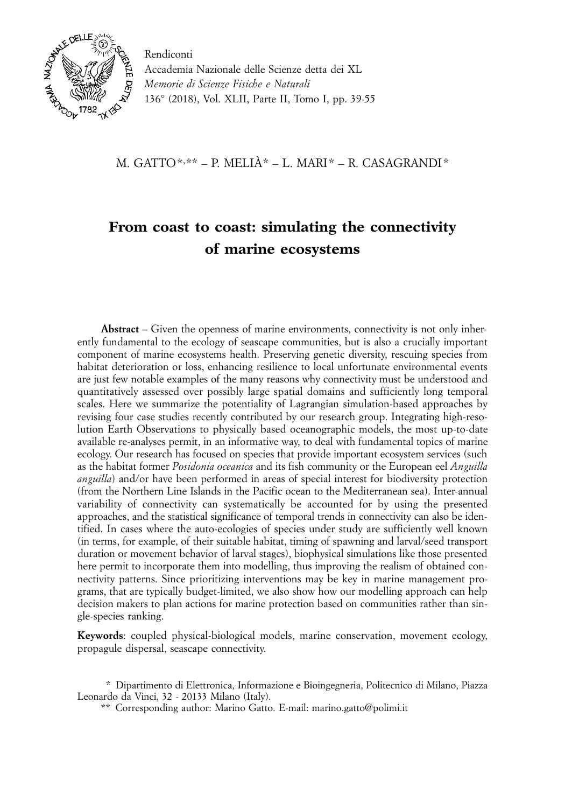

 Accademia Nazionale delle Scienze detta dei XL *Memorie di Scienze Fisiche e Naturali* 136° (2018), Vol. XLII, Parte II, Tomo I, pp. 39-55

M. GATTO\*, \*\* – P. MELIÀ\* – L. MARI\* – R. CASAGRANDI\*

# **From coast to coast: simulating the connectivity of marine ecosystems**

**Abstract** – Given the openness of marine environments, connectivity is not only inherently fundamental to the ecology of seascape communities, but is also a crucially important component of marine ecosystems health. Preserving genetic diversity, rescuing species from habitat deterioration or loss, enhancing resilience to local unfortunate environmental events are just few notable examples of the many reasons why connectivity must be understood and quantitatively assessed over possibly large spatial domains and sufficiently long temporal scales. Here we summarize the potentiality of Lagrangian simulation-based approaches by revising four case studies recently contributed by our research group. Integrating high-resolution Earth Observations to physically based oceanographic models, the most up-to-date available re-analyses permit, in an informative way, to deal with fundamental topics of marine ecology. Our research has focused on species that provide important ecosystem services (such as the habitat former *Posidonia oceanica* and its fish community or the European eel *Anguilla anguilla*) and/or have been performed in areas of special interest for biodiversity protection (from the Northern Line Islands in the Pacific ocean to the Mediterranean sea). Inter-annual variability of connectivity can systematically be accounted for by using the presented approaches, and the statistical significance of temporal trends in connectivity can also be identified. In cases where the auto-ecologies of species under study are sufficiently well known (in terms, for example, of their suitable habitat, timing of spawning and larval/seed transport duration or movement behavior of larval stages), biophysical simulations like those presented here permit to incorporate them into modelling, thus improving the realism of obtained connectivity patterns. Since prioritizing interventions may be key in marine management programs, that are typically budget-limited, we also show how our modelling approach can help decision makers to plan actions for marine protection based on communities rather than single-species ranking.

**Keywords**: coupled physical-biological models, marine conservation, movement ecology, propagule dispersal, seascape connectivity.

\*\* Corresponding author: Marino Gatto. E-mail: marino.gatto@polimi.it

<sup>\*</sup> Dipartimento di Elettronica, Informazione e Bioingegneria, Politecnico di Milano, Piazza Leonardo da Vinci, 32 - 20133 Milano (Italy).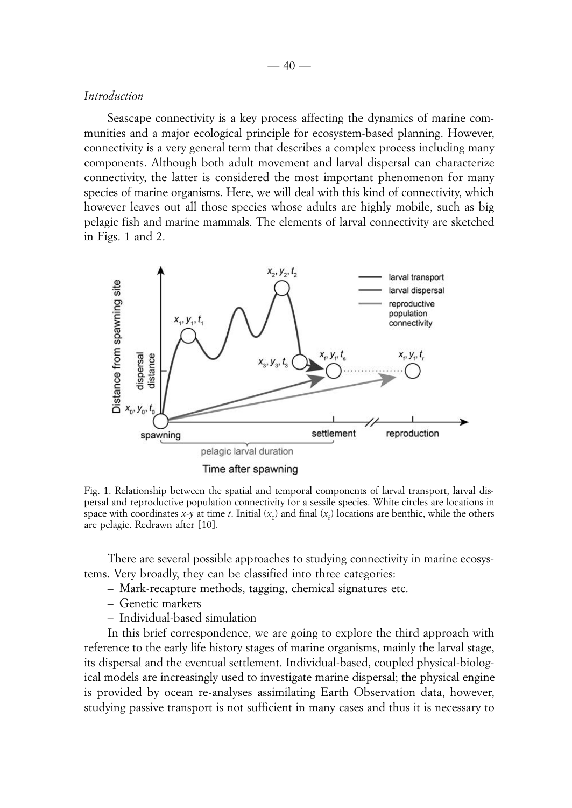## *Introduction*

Seascape connectivity is a key process affecting the dynamics of marine communities and a major ecological principle for ecosystem-based planning. However, connectivity is a very general term that describes a complex process including many components. Although both adult movement and larval dispersal can characterize connectivity, the latter is considered the most important phenomenon for many species of marine organisms. Here, we will deal with this kind of connectivity, which however leaves out all those species whose adults are highly mobile, such as big pelagic fish and marine mammals. The elements of larval connectivity are sketched in Figs. 1 and 2.



Fig. 1. Relationship between the spatial and temporal components of larval transport, larval dispersal and reproductive population connectivity for a sessile species. White circles are locations in space with coordinates *x*-*y* at time *t*. Initial  $(x_0)$  and final  $(x_f)$  locations are benthic, while the others are pelagic. Redrawn after [10].

There are several possible approaches to studying connectivity in marine ecosystems. Very broadly, they can be classified into three categories:

- Mark-recapture methods, tagging, chemical signatures etc.
- Genetic markers
- Individual-based simulation

In this brief correspondence, we are going to explore the third approach with reference to the early life history stages of marine organisms, mainly the larval stage, its dispersal and the eventual settlement. Individual-based, coupled physical-biological models are increasingly used to investigate marine dispersal; the physical engine is provided by ocean re-analyses assimilating Earth Observation data, however, studying passive transport is not sufficient in many cases and thus it is necessary to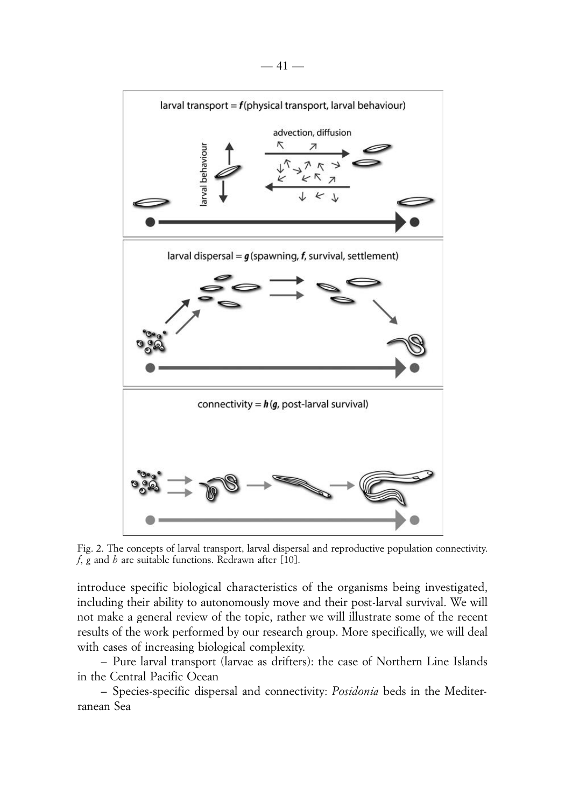

Fig. 2. The concepts of larval transport, larval dispersal and reproductive population connectivity. *f*, *g* and *h* are suitable functions. Redrawn after [10].

introduce specific biological characteristics of the organisms being investigated, including their ability to autonomously move and their post-larval survival. We will not make a general review of the topic, rather we will illustrate some of the recent results of the work performed by our research group. More specifically, we will deal with cases of increasing biological complexity.

– Pure larval transport (larvae as drifters): the case of Northern Line Islands in the Central Pacific Ocean

– Species-specific dispersal and connectivity: *Posidonia* beds in the Mediterranean Sea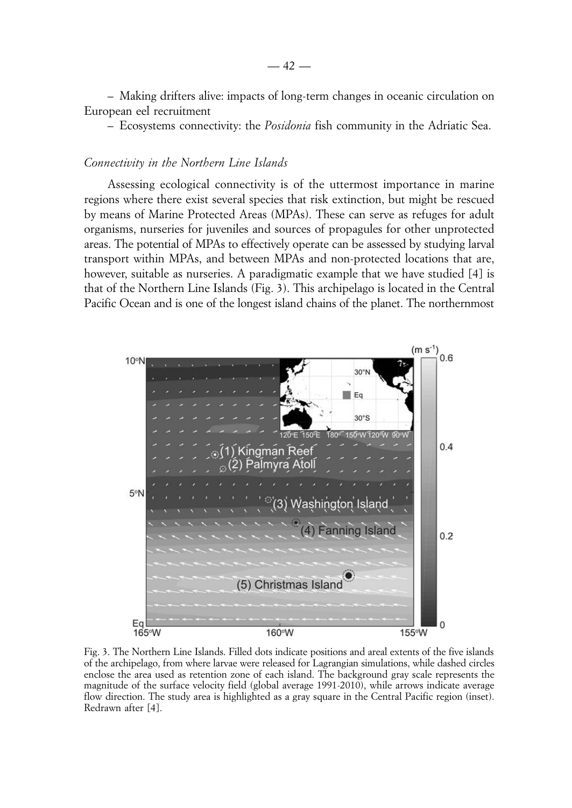– Making drifters alive: impacts of long-term changes in oceanic circulation on European eel recruitment

– Ecosystems connectivity: the *Posidonia* fish community in the Adriatic Sea.

#### *Connectivity in the Northern Line Islands*

Assessing ecological connectivity is of the uttermost importance in marine regions where there exist several species that risk extinction, but might be rescued by means of Marine Protected Areas (MPAs). These can serve as refuges for adult organisms, nurseries for juveniles and sources of propagules for other unprotected areas. The potential of MPAs to effectively operate can be assessed by studying larval transport within MPAs, and between MPAs and non-protected locations that are, however, suitable as nurseries. A paradigmatic example that we have studied [4] is that of the Northern Line Islands (Fig. 3). This archipelago is located in the Central Pacific Ocean and is one of the longest island chains of the planet. The northernmost



Fig. 3. The Northern Line Islands. Filled dots indicate positions and areal extents of the five islands of the archipelago, from where larvae were released for Lagrangian simulations, while dashed circles enclose the area used as retention zone of each island. The background gray scale represents the magnitude of the surface velocity field (global average 1991-2010), while arrows indicate average flow direction. The study area is highlighted as a gray square in the Central Pacific region (inset). Redrawn after [4].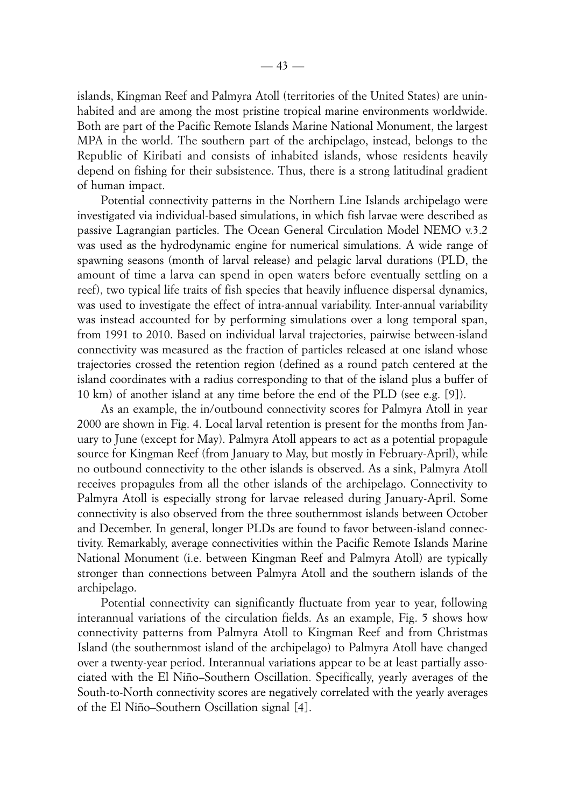islands, Kingman Reef and Palmyra Atoll (territories of the United States) are uninhabited and are among the most pristine tropical marine environments worldwide. Both are part of the Pacific Remote Islands Marine National Monument, the largest MPA in the world. The southern part of the archipelago, instead, belongs to the Republic of Kiribati and consists of inhabited islands, whose residents heavily depend on fishing for their subsistence. Thus, there is a strong latitudinal gradient of human impact.

Potential connectivity patterns in the Northern Line Islands archipelago were investigated via individual-based simulations, in which fish larvae were described as passive Lagrangian particles. The Ocean General Circulation Model NEMO v.3.2 was used as the hydrodynamic engine for numerical simulations. A wide range of spawning seasons (month of larval release) and pelagic larval durations (PLD, the amount of time a larva can spend in open waters before eventually settling on a reef), two typical life traits of fish species that heavily influence dispersal dynamics, was used to investigate the effect of intra-annual variability. Inter-annual variability was instead accounted for by performing simulations over a long temporal span, from 1991 to 2010. Based on individual larval trajectories, pairwise between-island connectivity was measured as the fraction of particles released at one island whose trajectories crossed the retention region (defined as a round patch centered at the island coordinates with a radius corresponding to that of the island plus a buffer of 10 km) of another island at any time before the end of the PLD (see e.g. [9]).

As an example, the in/outbound connectivity scores for Palmyra Atoll in year 2000 are shown in Fig. 4. Local larval retention is present for the months from January to June (except for May). Palmyra Atoll appears to act as a potential propagule source for Kingman Reef (from January to May, but mostly in February-April), while no outbound connectivity to the other islands is observed. As a sink, Palmyra Atoll receives propagules from all the other islands of the archipelago. Connectivity to Palmyra Atoll is especially strong for larvae released during January-April. Some connectivity is also observed from the three southernmost islands between October and December. In general, longer PLDs are found to favor between-island connectivity. Remarkably, average connectivities within the Pacific Remote Islands Marine National Monument (i.e. between Kingman Reef and Palmyra Atoll) are typically stronger than connections between Palmyra Atoll and the southern islands of the archipelago.

Potential connectivity can significantly fluctuate from year to year, following interannual variations of the circulation fields. As an example, Fig. 5 shows how connectivity patterns from Palmyra Atoll to Kingman Reef and from Christmas Island (the southernmost island of the archipelago) to Palmyra Atoll have changed over a twenty-year period. Interannual variations appear to be at least partially associated with the El Niño–Southern Oscillation. Specifically, yearly averages of the South-to-North connectivity scores are negatively correlated with the yearly averages of the El Niño–Southern Oscillation signal [4].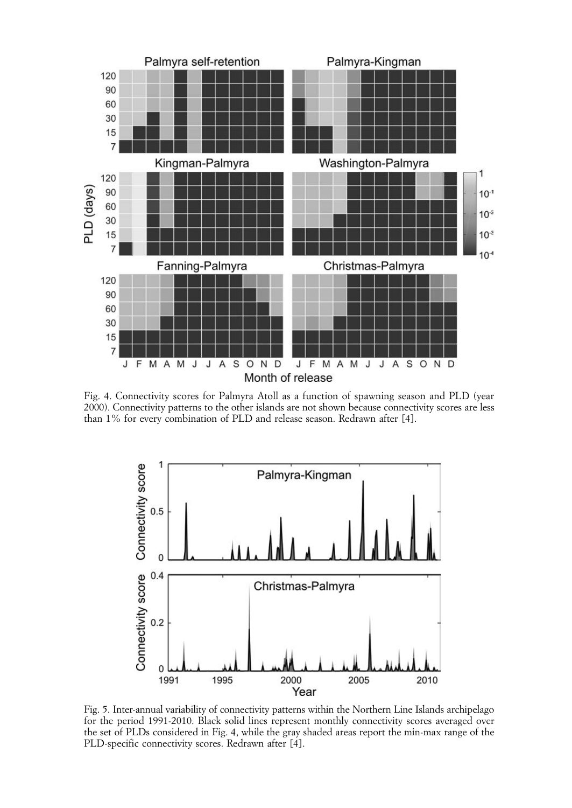

Fig. 4. Connectivity scores for Palmyra Atoll as a function of spawning season and PLD (year 2000). Connectivity patterns to the other islands are not shown because connectivity scores are less than 1% for every combination of PLD and release season. Redrawn after [4].



Fig. 5. Inter-annual variability of connectivity patterns within the Northern Line Islands archipelago for the period 1991-2010. Black solid lines represent monthly connectivity scores averaged over the set of PLDs considered in Fig. 4, while the gray shaded areas report the min-max range of the PLD-specific connectivity scores. Redrawn after [4].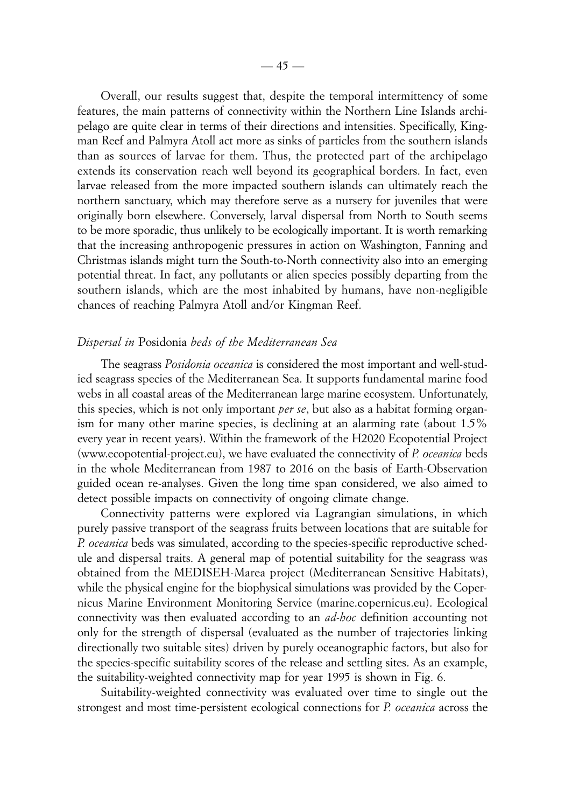Overall, our results suggest that, despite the temporal intermittency of some features, the main patterns of connectivity within the Northern Line Islands archipelago are quite clear in terms of their directions and intensities. Specifically, Kingman Reef and Palmyra Atoll act more as sinks of particles from the southern islands than as sources of larvae for them. Thus, the protected part of the archipelago extends its conservation reach well beyond its geographical borders. In fact, even larvae released from the more impacted southern islands can ultimately reach the northern sanctuary, which may therefore serve as a nursery for juveniles that were originally born elsewhere. Conversely, larval dispersal from North to South seems to be more sporadic, thus unlikely to be ecologically important. It is worth remarking that the increasing anthropogenic pressures in action on Washington, Fanning and Christmas islands might turn the South-to-North connectivity also into an emerging potential threat. In fact, any pollutants or alien species possibly departing from the southern islands, which are the most inhabited by humans, have non-negligible chances of reaching Palmyra Atoll and/or Kingman Reef.

# *Dispersal in* Posidonia *beds of the Mediterranean Sea*

The seagrass *Posidonia oceanica* is considered the most important and well-studied seagrass species of the Mediterranean Sea. It supports fundamental marine food webs in all coastal areas of the Mediterranean large marine ecosystem. Unfortunately, this species, which is not only important *per se*, but also as a habitat forming organism for many other marine species, is declining at an alarming rate (about 1.5% every year in recent years). Within the framework of the H2020 Ecopotential Project (www.ecopotential-project.eu), we have evaluated the connectivity of *P. oceanica* beds in the whole Mediterranean from 1987 to 2016 on the basis of Earth-Observation guided ocean re-analyses. Given the long time span considered, we also aimed to detect possible impacts on connectivity of ongoing climate change.

Connectivity patterns were explored via Lagrangian simulations, in which purely passive transport of the seagrass fruits between locations that are suitable for *P. oceanica* beds was simulated, according to the species-specific reproductive schedule and dispersal traits. A general map of potential suitability for the seagrass was obtained from the MEDISEH-Marea project (Mediterranean Sensitive Habitats), while the physical engine for the biophysical simulations was provided by the Copernicus Marine Environment Monitoring Service (marine.copernicus.eu). Ecological connectivity was then evaluated according to an *ad-hoc* definition accounting not only for the strength of dispersal (evaluated as the number of trajectories linking directionally two suitable sites) driven by purely oceanographic factors, but also for the species-specific suitability scores of the release and settling sites. As an example, the suitability-weighted connectivity map for year 1995 is shown in Fig. 6.

Suitability-weighted connectivity was evaluated over time to single out the strongest and most time-persistent ecological connections for *P. oceanica* across the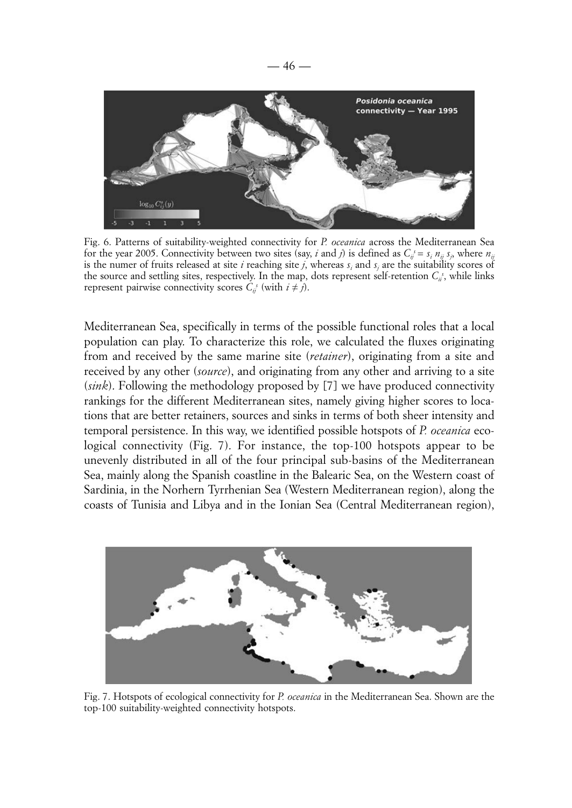

Fig. 6. Patterns of suitability-weighted connectivity for *P. oceanica* across the Mediterranean Sea for the year 2005. Connectivity between two sites (say, *i* and *j*) is defined as  $C_{ij}^s = s_i n_{ij} s_j$ , where  $n_{ij}$ is the numer of fruits released at site  $i$  reaching site  $j$ , whereas  $s_i$  and  $s_j$  are the suitability scores of the source and settling sites, respectively. In the map, dots represent self-retention  $C_i$ , while links represent pairwise connectivity scores  $C_{ij}^s$  (with  $i \neq j$ ).

Mediterranean Sea, specifically in terms of the possible functional roles that a local population can play. To characterize this role, we calculated the fluxes originating from and received by the same marine site (*retainer*), originating from a site and received by any other (*source*), and originating from any other and arriving to a site (*sink*). Following the methodology proposed by [7] we have produced connectivity rankings for the different Mediterranean sites, namely giving higher scores to locations that are better retainers, sources and sinks in terms of both sheer intensity and temporal persistence. In this way, we identified possible hotspots of *P. oceanica* ecological connectivity (Fig. 7). For instance, the top-100 hotspots appear to be unevenly distributed in all of the four principal sub-basins of the Mediterranean Sea, mainly along the Spanish coastline in the Balearic Sea, on the Western coast of Sardinia, in the Norhern Tyrrhenian Sea (Western Mediterranean region), along the coasts of Tunisia and Libya and in the Ionian Sea (Central Mediterranean region),



Fig. 7. Hotspots of ecological connectivity for *P. oceanica* in the Mediterranean Sea. Shown are the top-100 suitability-weighted connectivity hotspots.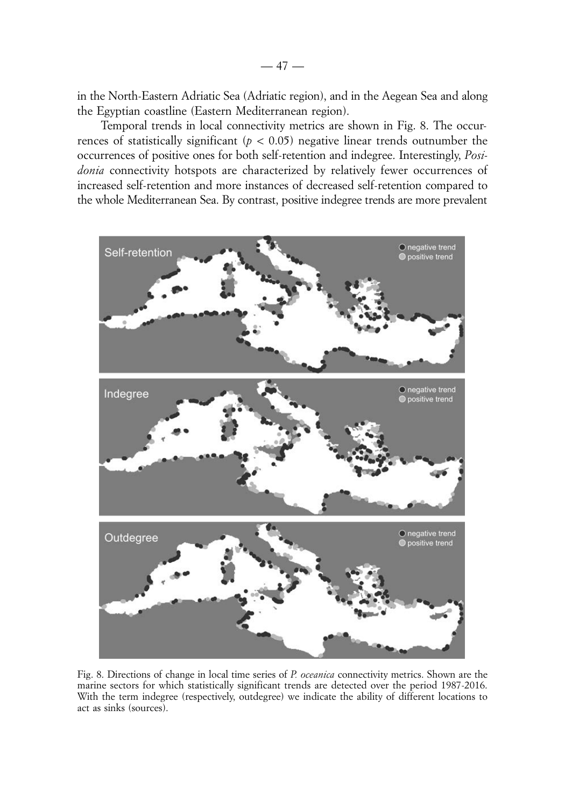in the North-Eastern Adriatic Sea (Adriatic region), and in the Aegean Sea and along the Egyptian coastline (Eastern Mediterranean region).

Temporal trends in local connectivity metrics are shown in Fig. 8. The occurrences of statistically significant ( $p < 0.05$ ) negative linear trends outnumber the occurrences of positive ones for both self-retention and indegree. Interestingly, *Posidonia* connectivity hotspots are characterized by relatively fewer occurrences of increased self-retention and more instances of decreased self-retention compared to the whole Mediterranean Sea. By contrast, positive indegree trends are more prevalent



Fig. 8. Directions of change in local time series of *P. oceanica* connectivity metrics. Shown are the marine sectors for which statistically significant trends are detected over the period 1987-2016. With the term indegree (respectively, outdegree) we indicate the ability of different locations to act as sinks (sources).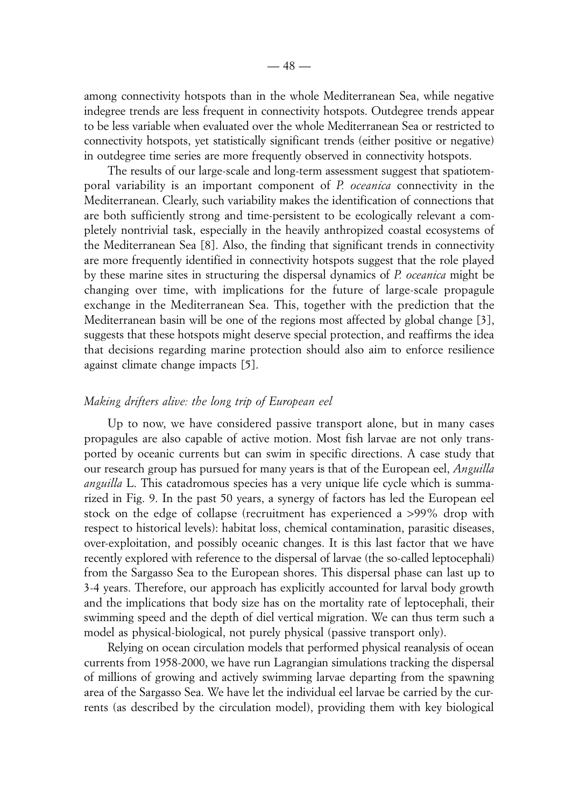among connectivity hotspots than in the whole Mediterranean Sea, while negative indegree trends are less frequent in connectivity hotspots. Outdegree trends appear to be less variable when evaluated over the whole Mediterranean Sea or restricted to connectivity hotspots, yet statistically significant trends (either positive or negative) in outdegree time series are more frequently observed in connectivity hotspots.

The results of our large-scale and long-term assessment suggest that spatiotemporal variability is an important component of *P. oceanica* connectivity in the Mediterranean. Clearly, such variability makes the identification of connections that are both sufficiently strong and time-persistent to be ecologically relevant a completely nontrivial task, especially in the heavily anthropized coastal ecosystems of the Mediterranean Sea [8]. Also, the finding that significant trends in connectivity are more frequently identified in connectivity hotspots suggest that the role played by these marine sites in structuring the dispersal dynamics of *P. oceanica* might be changing over time, with implications for the future of large-scale propagule exchange in the Mediterranean Sea. This, together with the prediction that the Mediterranean basin will be one of the regions most affected by global change [3], suggests that these hotspots might deserve special protection, and reaffirms the idea that decisions regarding marine protection should also aim to enforce resilience against climate change impacts [5].

#### *Making drifters alive: the long trip of European eel*

Up to now, we have considered passive transport alone, but in many cases propagules are also capable of active motion. Most fish larvae are not only transported by oceanic currents but can swim in specific directions. A case study that our research group has pursued for many years is that of the European eel, *Anguilla anguilla* L. This catadromous species has a very unique life cycle which is summarized in Fig. 9. In the past 50 years, a synergy of factors has led the European eel stock on the edge of collapse (recruitment has experienced a >99% drop with respect to historical levels): habitat loss, chemical contamination, parasitic diseases, over-exploitation, and possibly oceanic changes. It is this last factor that we have recently explored with reference to the dispersal of larvae (the so-called leptocephali) from the Sargasso Sea to the European shores. This dispersal phase can last up to 3-4 years. Therefore, our approach has explicitly accounted for larval body growth and the implications that body size has on the mortality rate of leptocephali, their swimming speed and the depth of diel vertical migration. We can thus term such a model as physical-biological, not purely physical (passive transport only).

Relying on ocean circulation models that performed physical reanalysis of ocean currents from 1958-2000, we have run Lagrangian simulations tracking the dispersal of millions of growing and actively swimming larvae departing from the spawning area of the Sargasso Sea. We have let the individual eel larvae be carried by the currents (as described by the circulation model), providing them with key biological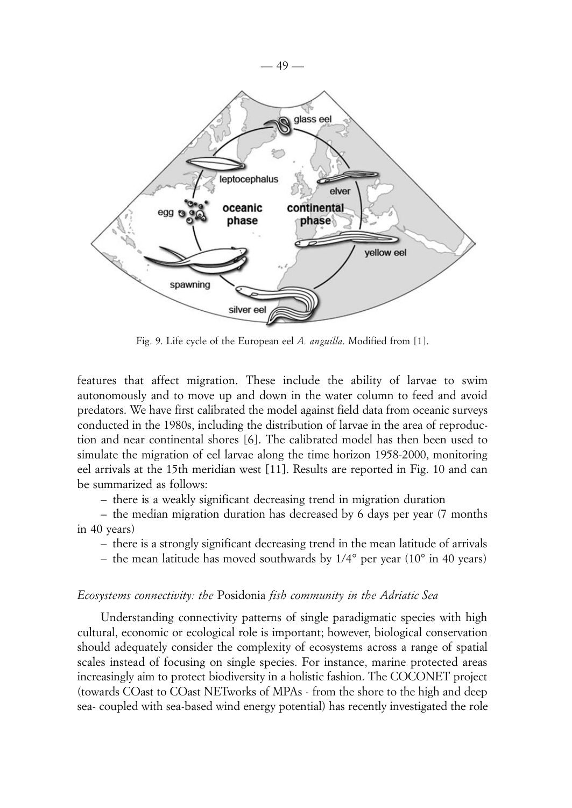

Fig. 9. Life cycle of the European eel *A. anguilla*. Modified from [1].

features that affect migration. These include the ability of larvae to swim autonomously and to move up and down in the water column to feed and avoid predators. We have first calibrated the model against field data from oceanic surveys conducted in the 1980s, including the distribution of larvae in the area of reproduction and near continental shores [6]. The calibrated model has then been used to simulate the migration of eel larvae along the time horizon 1958-2000, monitoring eel arrivals at the 15th meridian west [11]. Results are reported in Fig. 10 and can be summarized as follows:

– there is a weakly significant decreasing trend in migration duration

– the median migration duration has decreased by 6 days per year (7 months in 40 years)

- there is a strongly significant decreasing trend in the mean latitude of arrivals
- the mean latitude has moved southwards by 1/4° per year (10° in 40 years)

#### *Ecosystems connectivity: the* Posidonia *fish community in the Adriatic Sea*

Understanding connectivity patterns of single paradigmatic species with high cultural, economic or ecological role is important; however, biological conservation should adequately consider the complexity of ecosystems across a range of spatial scales instead of focusing on single species. For instance, marine protected areas increasingly aim to protect biodiversity in a holistic fashion. The COCONET project (towards COast to COast NETworks of MPAs - from the shore to the high and deep sea- coupled with sea-based wind energy potential) has recently investigated the role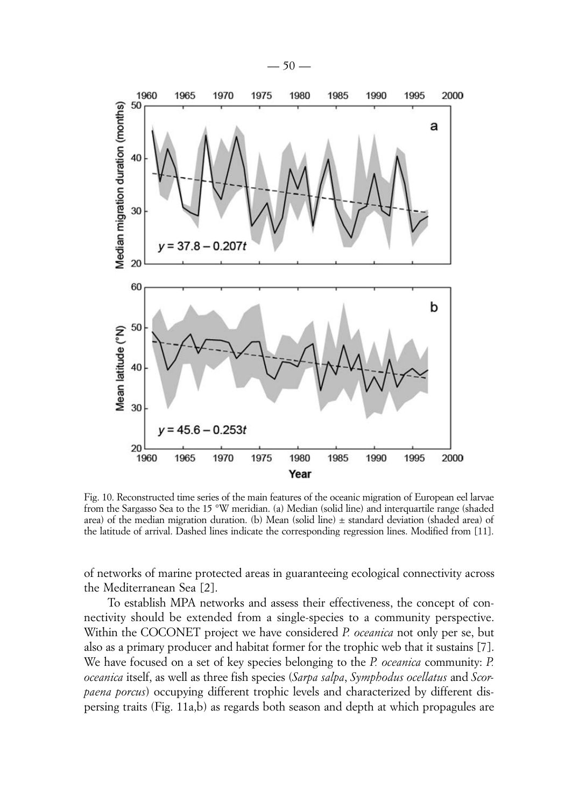

Fig. 10. Reconstructed time series of the main features of the oceanic migration of European eel larvae from the Sargasso Sea to the 15 °W meridian. (a) Median (solid line) and interquartile range (shaded area) of the median migration duration. (b) Mean (solid line) ± standard deviation (shaded area) of the latitude of arrival. Dashed lines indicate the corresponding regression lines. Modified from [11].

of networks of marine protected areas in guaranteeing ecological connectivity across the Mediterranean Sea [2].

To establish MPA networks and assess their effectiveness, the concept of connectivity should be extended from a single-species to a community perspective. Within the COCONET project we have considered *P. oceanica* not only per se, but also as a primary producer and habitat former for the trophic web that it sustains [7]. We have focused on a set of key species belonging to the *P. oceanica* community: *P. oceanica* itself, as well as three fish species (*Sarpa salpa*, *Symphodus ocellatus* and *Scorpaena porcus*) occupying different trophic levels and characterized by different dispersing traits (Fig. 11a,b) as regards both season and depth at which propagules are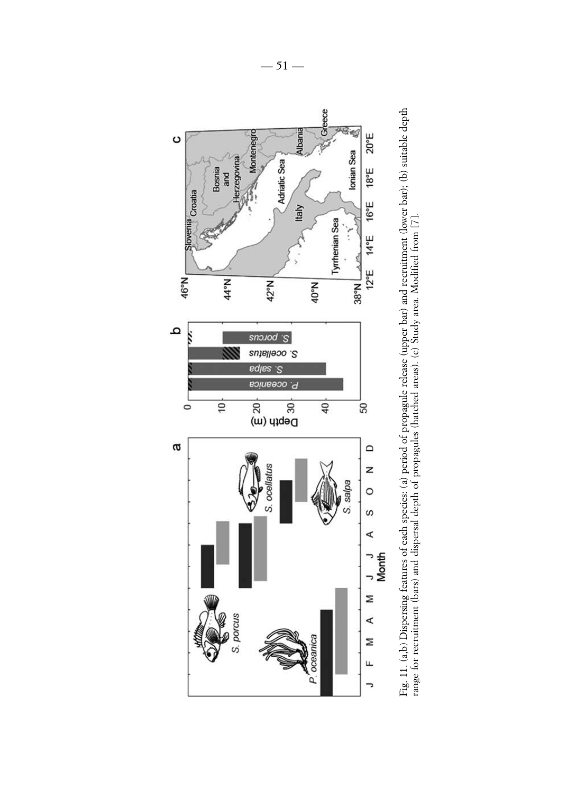

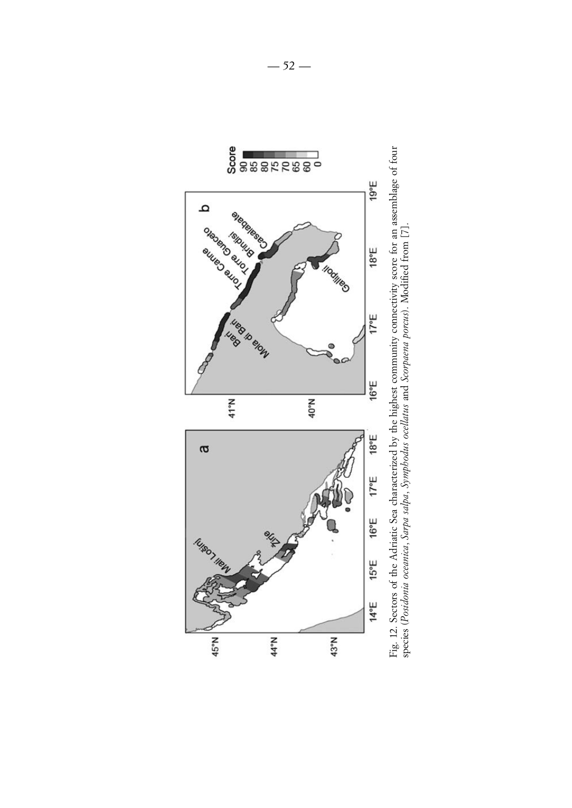

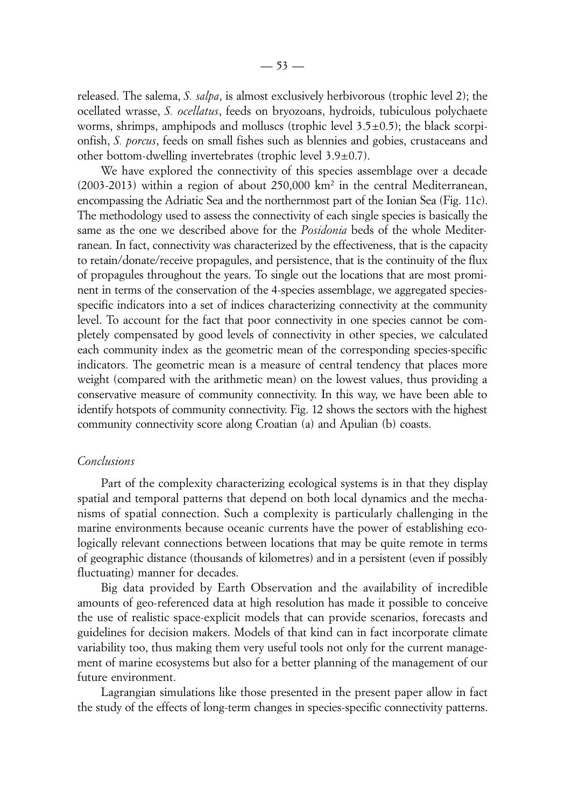released. The salema, *S. salpa*, is almost exclusively herbivorous (trophic level 2); the ocellated wrasse, *S. ocellatus*, feeds on bryozoans, hydroids, tubiculous polychaete worms, shrimps, amphipods and molluscs (trophic level  $3.5\pm0.5$ ); the black scorpionfish, *S. porcus*, feeds on small fishes such as blennies and gobies, crustaceans and other bottom-dwelling invertebrates (trophic level 3.9±0.7).

We have explored the connectivity of this species assemblage over a decade  $(2003-2013)$  within a region of about 250,000 km<sup>2</sup> in the central Mediterranean, encompassing the Adriatic Sea and the northernmost part of the Ionian Sea (Fig. 11c). The methodology used to assess the connectivity of each single species is basically the same as the one we described above for the *Posidonia* beds of the whole Mediterranean. In fact, connectivity was characterized by the effectiveness, that is the capacity to retain/donate/receive propagules, and persistence, that is the continuity of the flux of propagules throughout the years. To single out the locations that are most prominent in terms of the conservation of the 4-species assemblage, we aggregated speciesspecific indicators into a set of indices characterizing connectivity at the community level. To account for the fact that poor connectivity in one species cannot be completely compensated by good levels of connectivity in other species, we calculated each community index as the geometric mean of the corresponding species-specific indicators. The geometric mean is a measure of central tendency that places more weight (compared with the arithmetic mean) on the lowest values, thus providing a conservative measure of community connectivity. In this way, we have been able to identify hotspots of community connectivity. Fig. 12 shows the sectors with the highest community connectivity score along Croatian (a) and Apulian (b) coasts.

## *Conclusions*

Part of the complexity characterizing ecological systems is in that they display spatial and temporal patterns that depend on both local dynamics and the mechanisms of spatial connection. Such a complexity is particularly challenging in the marine environments because oceanic currents have the power of establishing ecologically relevant connections between locations that may be quite remote in terms of geographic distance (thousands of kilometres) and in a persistent (even if possibly fluctuating) manner for decades.

Big data provided by Earth Observation and the availability of incredible amounts of geo-referenced data at high resolution has made it possible to conceive the use of realistic space-explicit models that can provide scenarios, forecasts and guidelines for decision makers. Models of that kind can in fact incorporate climate variability too, thus making them very useful tools not only for the current management of marine ecosystems but also for a better planning of the management of our future environment.

Lagrangian simulations like those presented in the present paper allow in fact the study of the effects of long-term changes in species-specific connectivity patterns.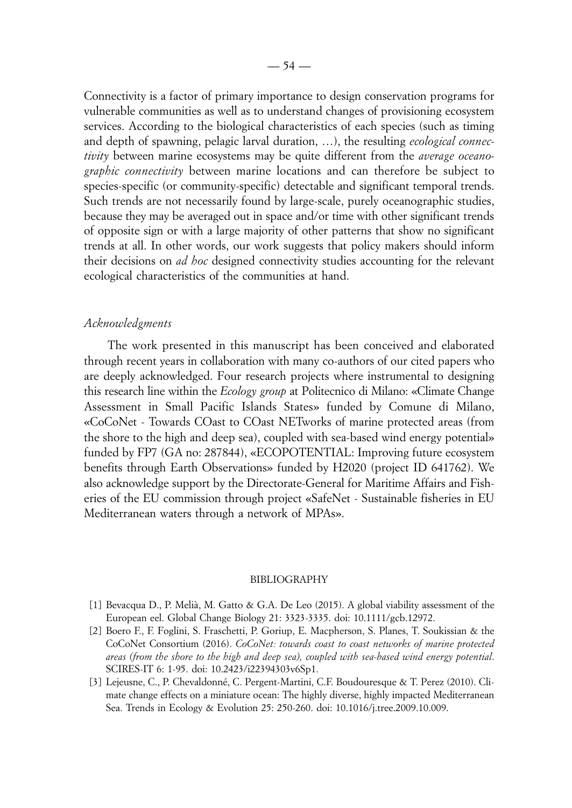Connectivity is a factor of primary importance to design conservation programs for vulnerable communities as well as to understand changes of provisioning ecosystem services. According to the biological characteristics of each species (such as timing and depth of spawning, pelagic larval duration, …), the resulting *ecological connectivity* between marine ecosystems may be quite different from the *average oceanographic connectivity* between marine locations and can therefore be subject to species-specific (or community-specific) detectable and significant temporal trends. Such trends are not necessarily found by large-scale, purely oceanographic studies, because they may be averaged out in space and/or time with other significant trends of opposite sign or with a large majority of other patterns that show no significant trends at all. In other words, our work suggests that policy makers should inform their decisions on *ad hoc* designed connectivity studies accounting for the relevant ecological characteristics of the communities at hand.

## *Acknowledgments*

The work presented in this manuscript has been conceived and elaborated through recent years in collaboration with many co-authors of our cited papers who are deeply acknowledged. Four research projects where instrumental to designing this research line within the *Ecology group* at Politecnico di Milano: «Climate Change Assessment in Small Pacific Islands States» funded by Comune di Milano, «CoCoNet - Towards COast to COast NETworks of marine protected areas (from the shore to the high and deep sea), coupled with sea-based wind energy potential» funded by FP7 (GA no: 287844), «ECOPOTENTIAL: Improving future ecosystem benefits through Earth Observations» funded by H2020 (project ID 641762). We also acknowledge support by the Directorate-General for Maritime Affairs and Fisheries of the EU commission through project «SafeNet - Sustainable fisheries in EU Mediterranean waters through a network of MPAs».

#### BIBLIOGRAPHY

- [1] Bevacqua D., P. Melià, M. Gatto & G.A. De Leo (2015). A global viability assessment of the European eel. Global Change Biology 21: 3323-3335. doi: 10.1111/gcb.12972.
- [2] Boero F., F. Foglini, S. Fraschetti, P. Goriup, E. Macpherson, S. Planes, T. Soukissian & the CoCoNet Consortium (2016). *CoCoNet: towards coast to coast networks of marine protected areas (from the shore to the high and deep sea), coupled with sea-based wind energy potential*. SCIRES-IT 6: 1-95. doi: 10.2423/i22394303v6Sp1.
- [3] Lejeusne, C., P. Chevaldonné, C. Pergent-Martini, C.F. Boudouresque & T. Perez (2010). Climate change effects on a miniature ocean: The highly diverse, highly impacted Mediterranean Sea. Trends in Ecology & Evolution 25: 250-260. doi: 10.1016/j.tree.2009.10.009.